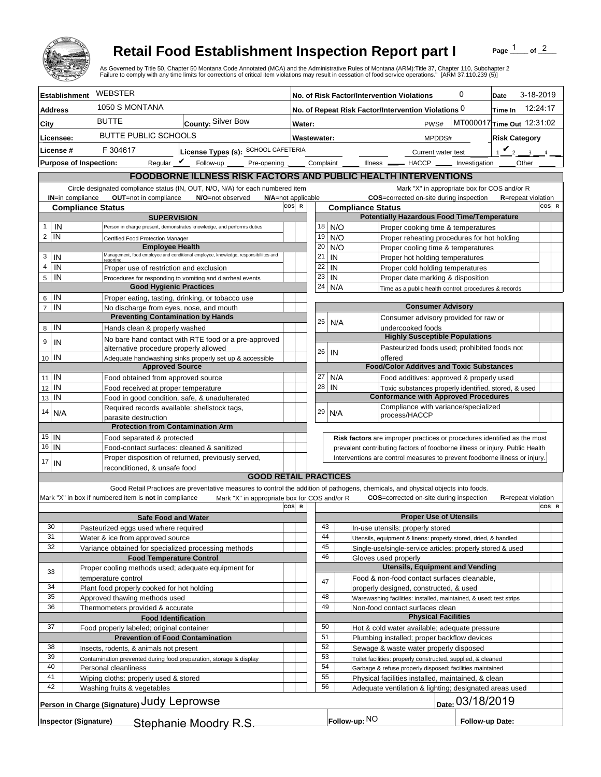

## **Retail Food Establishment Inspection Report part I**

Page  $\frac{1}{1}$  of  $\frac{2}{1}$ 

|                                                                                                                                                                               |                                                                                    | <b>Retail Food Establishment Inspection Report part I</b>                                     |                                                                                                                                                                                                                                                                                                                    |                    |                                                                                                                     |                                                                                                                               |                                                                                              |                                                                                     |   | Page                           | of $^2$  |       |  |
|-------------------------------------------------------------------------------------------------------------------------------------------------------------------------------|------------------------------------------------------------------------------------|-----------------------------------------------------------------------------------------------|--------------------------------------------------------------------------------------------------------------------------------------------------------------------------------------------------------------------------------------------------------------------------------------------------------------------|--------------------|---------------------------------------------------------------------------------------------------------------------|-------------------------------------------------------------------------------------------------------------------------------|----------------------------------------------------------------------------------------------|-------------------------------------------------------------------------------------|---|--------------------------------|----------|-------|--|
|                                                                                                                                                                               |                                                                                    |                                                                                               | As Governed by Title 50, Chapter 50 Montana Code Annotated (MCA) and the Administrative Rules of Montana (ARM):Title 37, Chapter 110, Subchapter 2<br>Failure to comply with any time limits for corrections of critical item violations may result in cessation of food service operations." [ARM 37.110.239 (5)] |                    |                                                                                                                     |                                                                                                                               |                                                                                              |                                                                                     |   |                                |          |       |  |
| <b>Establishment</b>                                                                                                                                                          |                                                                                    | WEBSTER                                                                                       |                                                                                                                                                                                                                                                                                                                    |                    | No. of Risk Factor/Intervention Violations                                                                          |                                                                                                                               |                                                                                              |                                                                                     | 0 | 3-18-2019<br>Date              |          |       |  |
| <b>Address</b>                                                                                                                                                                |                                                                                    | 1050 S MONTANA                                                                                |                                                                                                                                                                                                                                                                                                                    |                    | No. of Repeat Risk Factor/Intervention Violations 0<br>Time In                                                      |                                                                                                                               |                                                                                              |                                                                                     |   |                                | 12:24:17 |       |  |
| City                                                                                                                                                                          |                                                                                    | <b>BUTTE</b><br>County: Silver Bow                                                            |                                                                                                                                                                                                                                                                                                                    |                    | MT000017 Time Out 12:31:02<br>PWS#<br>Water:                                                                        |                                                                                                                               |                                                                                              |                                                                                     |   |                                |          |       |  |
| Licensee:                                                                                                                                                                     |                                                                                    | <b>BUTTE PUBLIC SCHOOLS</b>                                                                   |                                                                                                                                                                                                                                                                                                                    |                    | Wastewater:                                                                                                         |                                                                                                                               | <b>Risk Category</b><br>MPDDS#                                                               |                                                                                     |   |                                |          |       |  |
| License #                                                                                                                                                                     |                                                                                    | F 304617<br>License Types (s): SCHOOL CAFETERIA                                               |                                                                                                                                                                                                                                                                                                                    |                    |                                                                                                                     |                                                                                                                               |                                                                                              |                                                                                     |   | $1$ $\vee$ 2<br>$\overline{3}$ |          |       |  |
|                                                                                                                                                                               |                                                                                    |                                                                                               | Pre-opening ______ Complaint ___<br>Requiar $\mathbf{\nabla}$ Follow-up                                                                                                                                                                                                                                            |                    |                                                                                                                     |                                                                                                                               |                                                                                              | Current water test<br>Illness __ HACCP __ Investigation                             |   | Other                          |          |       |  |
| <b>Purpose of Inspection:</b><br>FOODBORNE ILLNESS RISK FACTORS AND PUBLIC HEALTH INTERVENTIONS                                                                               |                                                                                    |                                                                                               |                                                                                                                                                                                                                                                                                                                    |                    |                                                                                                                     |                                                                                                                               |                                                                                              |                                                                                     |   |                                |          |       |  |
|                                                                                                                                                                               |                                                                                    |                                                                                               |                                                                                                                                                                                                                                                                                                                    |                    |                                                                                                                     |                                                                                                                               |                                                                                              |                                                                                     |   |                                |          |       |  |
| Circle designated compliance status (IN, OUT, N/O, N/A) for each numbered item<br><b>OUT</b> =not in compliance<br>IN=in compliance<br>N/O=not observed<br>N/A=not applicable |                                                                                    |                                                                                               |                                                                                                                                                                                                                                                                                                                    |                    |                                                                                                                     | Mark "X" in appropriate box for COS and/or R<br><b>COS</b> =corrected on-site during inspection<br><b>R</b> =repeat violation |                                                                                              |                                                                                     |   |                                |          |       |  |
| cos<br>$\mathbb{R}$<br><b>Compliance Status</b>                                                                                                                               |                                                                                    |                                                                                               |                                                                                                                                                                                                                                                                                                                    |                    | <b>Compliance Status</b>                                                                                            |                                                                                                                               |                                                                                              |                                                                                     |   |                                |          | COS R |  |
| IN<br>1                                                                                                                                                                       |                                                                                    | <b>SUPERVISION</b>                                                                            |                                                                                                                                                                                                                                                                                                                    |                    |                                                                                                                     |                                                                                                                               | <b>Potentially Hazardous Food Time/Temperature</b>                                           |                                                                                     |   |                                |          |       |  |
| IN<br>2                                                                                                                                                                       |                                                                                    |                                                                                               | Person in charge present, demonstrates knowledge, and performs duties                                                                                                                                                                                                                                              |                    | 18<br>19                                                                                                            | N/O<br>N/O                                                                                                                    |                                                                                              | Proper cooking time & temperatures<br>Proper reheating procedures for hot holding   |   |                                |          |       |  |
|                                                                                                                                                                               | Certified Food Protection Manager<br><b>Employee Health</b>                        |                                                                                               |                                                                                                                                                                                                                                                                                                                    | 20                 | N/O                                                                                                                 |                                                                                                                               | Proper cooling time & temperatures                                                           |                                                                                     |   |                                |          |       |  |
| IN<br>3                                                                                                                                                                       |                                                                                    | reportina                                                                                     | Management, food employee and conditional employee, knowledge, responsibiliites and                                                                                                                                                                                                                                |                    | 21                                                                                                                  | IN                                                                                                                            |                                                                                              | Proper hot holding temperatures                                                     |   |                                |          |       |  |
| 4<br>IN                                                                                                                                                                       |                                                                                    | Proper use of restriction and exclusion                                                       |                                                                                                                                                                                                                                                                                                                    |                    | 22                                                                                                                  | IN                                                                                                                            |                                                                                              | Proper cold holding temperatures                                                    |   |                                |          |       |  |
| IN<br>5                                                                                                                                                                       | Procedures for responding to vomiting and diarrheal events                         |                                                                                               |                                                                                                                                                                                                                                                                                                                    |                    | 23<br>IN<br>Proper date marking & disposition<br>24<br>N/A<br>Time as a public health control: procedures & records |                                                                                                                               |                                                                                              |                                                                                     |   |                                |          |       |  |
| IN<br>6                                                                                                                                                                       | <b>Good Hygienic Practices</b><br>Proper eating, tasting, drinking, or tobacco use |                                                                                               |                                                                                                                                                                                                                                                                                                                    |                    |                                                                                                                     |                                                                                                                               |                                                                                              |                                                                                     |   |                                |          |       |  |
| IN<br>$\overline{7}$                                                                                                                                                          |                                                                                    | No discharge from eyes, nose, and mouth                                                       |                                                                                                                                                                                                                                                                                                                    |                    |                                                                                                                     |                                                                                                                               |                                                                                              | <b>Consumer Advisory</b>                                                            |   |                                |          |       |  |
|                                                                                                                                                                               |                                                                                    | <b>Preventing Contamination by Hands</b>                                                      |                                                                                                                                                                                                                                                                                                                    |                    | 25                                                                                                                  | Consumer advisory provided for raw or<br>N/A                                                                                  |                                                                                              |                                                                                     |   |                                |          |       |  |
| IN<br>8                                                                                                                                                                       |                                                                                    | Hands clean & properly washed                                                                 |                                                                                                                                                                                                                                                                                                                    |                    |                                                                                                                     |                                                                                                                               |                                                                                              | undercooked foods                                                                   |   |                                |          |       |  |
| 9<br>IN                                                                                                                                                                       |                                                                                    |                                                                                               | No bare hand contact with RTE food or a pre-approved                                                                                                                                                                                                                                                               |                    |                                                                                                                     |                                                                                                                               |                                                                                              | <b>Highly Susceptible Populations</b>                                               |   |                                |          |       |  |
| 10 IN                                                                                                                                                                         |                                                                                    | alternative procedure properly allowed                                                        |                                                                                                                                                                                                                                                                                                                    |                    | 26                                                                                                                  | IN                                                                                                                            | offered                                                                                      | Pasteurized foods used; prohibited foods not                                        |   |                                |          |       |  |
|                                                                                                                                                                               | Adequate handwashing sinks properly set up & accessible<br><b>Approved Source</b>  |                                                                                               |                                                                                                                                                                                                                                                                                                                    |                    |                                                                                                                     | <b>Food/Color Additves and Toxic Substances</b>                                                                               |                                                                                              |                                                                                     |   |                                |          |       |  |
| $\mathsf{IN}$<br>11                                                                                                                                                           |                                                                                    | Food obtained from approved source                                                            |                                                                                                                                                                                                                                                                                                                    |                    | 27                                                                                                                  | N/A                                                                                                                           |                                                                                              | Food additives: approved & properly used                                            |   |                                |          |       |  |
| IN<br>12                                                                                                                                                                      |                                                                                    | Food received at proper temperature                                                           |                                                                                                                                                                                                                                                                                                                    |                    | 28                                                                                                                  | IN                                                                                                                            |                                                                                              | Toxic substances properly identified, stored, & used                                |   |                                |          |       |  |
| IN<br>13                                                                                                                                                                      |                                                                                    | Food in good condition, safe, & unadulterated<br>Required records available: shellstock tags, |                                                                                                                                                                                                                                                                                                                    |                    |                                                                                                                     |                                                                                                                               |                                                                                              | <b>Conformance with Approved Procedures</b><br>Compliance with variance/specialized |   |                                |          |       |  |
| 14<br>N/A                                                                                                                                                                     |                                                                                    | parasite destruction                                                                          |                                                                                                                                                                                                                                                                                                                    |                    | 29                                                                                                                  | N/A                                                                                                                           | process/HACCP                                                                                |                                                                                     |   |                                |          |       |  |
|                                                                                                                                                                               |                                                                                    | <b>Protection from Contamination Arm</b>                                                      |                                                                                                                                                                                                                                                                                                                    |                    |                                                                                                                     |                                                                                                                               |                                                                                              |                                                                                     |   |                                |          |       |  |
| $15$ IN                                                                                                                                                                       |                                                                                    | Food separated & protected                                                                    |                                                                                                                                                                                                                                                                                                                    |                    |                                                                                                                     |                                                                                                                               | Risk factors are improper practices or procedures identified as the most                     |                                                                                     |   |                                |          |       |  |
| 16<br>IN                                                                                                                                                                      | Food-contact surfaces: cleaned & sanitized                                         |                                                                                               |                                                                                                                                                                                                                                                                                                                    |                    |                                                                                                                     | prevalent contributing factors of foodborne illness or injury. Public Health                                                  |                                                                                              |                                                                                     |   |                                |          |       |  |
| 17<br>IN                                                                                                                                                                      |                                                                                    | reconditioned, & unsafe food                                                                  | Proper disposition of returned, previously served,                                                                                                                                                                                                                                                                 |                    |                                                                                                                     |                                                                                                                               | Interventions are control measures to prevent foodborne illness or injury.                   |                                                                                     |   |                                |          |       |  |
|                                                                                                                                                                               |                                                                                    |                                                                                               | <b>GOOD RETAIL PRACTICES</b>                                                                                                                                                                                                                                                                                       |                    |                                                                                                                     |                                                                                                                               |                                                                                              |                                                                                     |   |                                |          |       |  |
|                                                                                                                                                                               |                                                                                    |                                                                                               | Good Retail Practices are preventative measures to control the addition of pathogens, chemicals, and physical objects into foods.                                                                                                                                                                                  |                    |                                                                                                                     |                                                                                                                               |                                                                                              |                                                                                     |   |                                |          |       |  |
|                                                                                                                                                                               |                                                                                    | Mark "X" in box if numbered item is not in compliance                                         | Mark "X" in appropriate box for COS and/or R                                                                                                                                                                                                                                                                       |                    |                                                                                                                     |                                                                                                                               |                                                                                              | COS=corrected on-site during inspection                                             |   | <b>R</b> =repeat violation     |          |       |  |
|                                                                                                                                                                               |                                                                                    |                                                                                               |                                                                                                                                                                                                                                                                                                                    | cos<br>$\mathbf R$ |                                                                                                                     |                                                                                                                               |                                                                                              | <b>Proper Use of Utensils</b>                                                       |   |                                | COS R    |       |  |
| 30                                                                                                                                                                            |                                                                                    | <b>Safe Food and Water</b><br>Pasteurized eggs used where required                            |                                                                                                                                                                                                                                                                                                                    |                    | 43                                                                                                                  |                                                                                                                               | In-use utensils: properly stored                                                             |                                                                                     |   |                                |          |       |  |
| 31                                                                                                                                                                            |                                                                                    | Water & ice from approved source                                                              |                                                                                                                                                                                                                                                                                                                    |                    | 44                                                                                                                  |                                                                                                                               | Utensils, equipment & linens: properly stored, dried, & handled                              |                                                                                     |   |                                |          |       |  |
| 32                                                                                                                                                                            |                                                                                    | Variance obtained for specialized processing methods                                          |                                                                                                                                                                                                                                                                                                                    |                    | 45                                                                                                                  |                                                                                                                               | Single-use/single-service articles: properly stored & used                                   |                                                                                     |   |                                |          |       |  |
|                                                                                                                                                                               |                                                                                    | <b>Food Temperature Control</b>                                                               |                                                                                                                                                                                                                                                                                                                    |                    | 46                                                                                                                  |                                                                                                                               | Gloves used properly                                                                         | <b>Utensils, Equipment and Vending</b>                                              |   |                                |          |       |  |
| 33                                                                                                                                                                            |                                                                                    | Proper cooling methods used; adequate equipment for<br>temperature control                    |                                                                                                                                                                                                                                                                                                                    |                    |                                                                                                                     |                                                                                                                               | Food & non-food contact surfaces cleanable,                                                  |                                                                                     |   |                                |          |       |  |
| 34                                                                                                                                                                            |                                                                                    | Plant food properly cooked for hot holding                                                    |                                                                                                                                                                                                                                                                                                                    |                    | 47                                                                                                                  |                                                                                                                               | properly designed, constructed, & used                                                       |                                                                                     |   |                                |          |       |  |
| 35                                                                                                                                                                            |                                                                                    | Approved thawing methods used                                                                 |                                                                                                                                                                                                                                                                                                                    |                    | 48                                                                                                                  |                                                                                                                               | Warewashing facilities: installed, maintained, & used; test strips                           |                                                                                     |   |                                |          |       |  |
| 36                                                                                                                                                                            |                                                                                    | Thermometers provided & accurate                                                              |                                                                                                                                                                                                                                                                                                                    |                    | 49                                                                                                                  |                                                                                                                               | Non-food contact surfaces clean                                                              |                                                                                     |   |                                |          |       |  |
|                                                                                                                                                                               | <b>Food Identification</b>                                                         |                                                                                               |                                                                                                                                                                                                                                                                                                                    |                    |                                                                                                                     |                                                                                                                               | <b>Physical Facilities</b>                                                                   |                                                                                     |   |                                |          |       |  |
| 37                                                                                                                                                                            |                                                                                    | Food properly labeled; original container<br><b>Prevention of Food Contamination</b>          |                                                                                                                                                                                                                                                                                                                    |                    | 50<br>51                                                                                                            |                                                                                                                               | Hot & cold water available; adequate pressure<br>Plumbing installed; proper backflow devices |                                                                                     |   |                                |          |       |  |
| 38                                                                                                                                                                            |                                                                                    | Insects, rodents, & animals not present                                                       |                                                                                                                                                                                                                                                                                                                    |                    | 52                                                                                                                  |                                                                                                                               | Sewage & waste water properly disposed                                                       |                                                                                     |   |                                |          |       |  |
| 39                                                                                                                                                                            | Contamination prevented during food preparation, storage & display                 |                                                                                               |                                                                                                                                                                                                                                                                                                                    | 53                 |                                                                                                                     | Toilet facilities: properly constructed, supplied, & cleaned                                                                  |                                                                                              |                                                                                     |   |                                |          |       |  |
| 40                                                                                                                                                                            | Personal cleanliness                                                               |                                                                                               |                                                                                                                                                                                                                                                                                                                    | 54                 |                                                                                                                     | Garbage & refuse properly disposed; facilities maintained                                                                     |                                                                                              |                                                                                     |   |                                |          |       |  |
| 41                                                                                                                                                                            | Wiping cloths: properly used & stored                                              |                                                                                               |                                                                                                                                                                                                                                                                                                                    | 55                 |                                                                                                                     | Physical facilities installed, maintained, & clean                                                                            |                                                                                              |                                                                                     |   |                                |          |       |  |
| 42                                                                                                                                                                            |                                                                                    | Washing fruits & vegetables                                                                   |                                                                                                                                                                                                                                                                                                                    |                    | 56                                                                                                                  |                                                                                                                               | Adequate ventilation & lighting; designated areas used                                       |                                                                                     |   |                                |          |       |  |
| Person in Charge (Signature) Judy Leprowse<br>Date: 03/18/2019                                                                                                                |                                                                                    |                                                                                               |                                                                                                                                                                                                                                                                                                                    |                    |                                                                                                                     |                                                                                                                               |                                                                                              |                                                                                     |   |                                |          |       |  |
| Follow-up: NO<br>Stephanie Moodry R.S.<br><b>Inspector (Signature)</b><br>Follow-up Date:                                                                                     |                                                                                    |                                                                                               |                                                                                                                                                                                                                                                                                                                    |                    |                                                                                                                     |                                                                                                                               |                                                                                              |                                                                                     |   |                                |          |       |  |